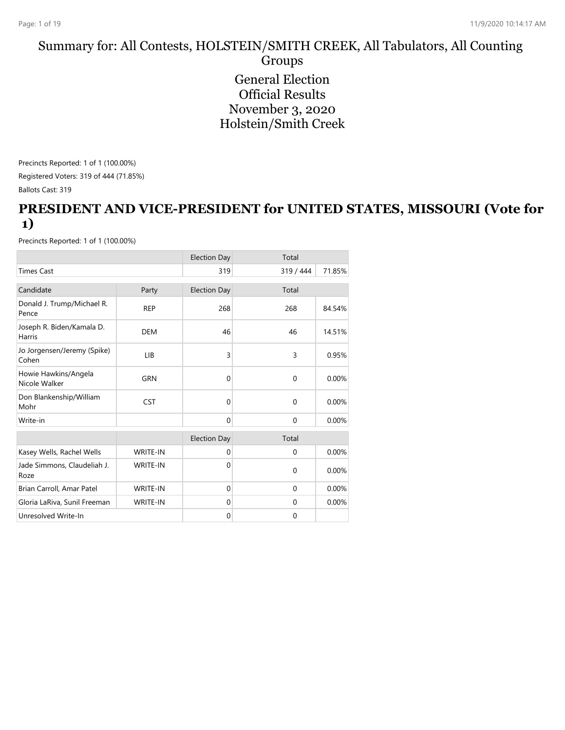#### Summary for: All Contests, HOLSTEIN/SMITH CREEK, All Tabulators, All Counting Groups General Election Official Results November 3, 2020 Holstein/Smith Creek

Precincts Reported: 1 of 1 (100.00%)

Registered Voters: 319 of 444 (71.85%)

Ballots Cast: 319

#### **PRESIDENT AND VICE-PRESIDENT for UNITED STATES, MISSOURI (Vote for 1)**

|                                       |                 | <b>Election Day</b> | Total        |        |
|---------------------------------------|-----------------|---------------------|--------------|--------|
| <b>Times Cast</b>                     |                 | 319                 | 319 / 444    | 71.85% |
| Candidate                             | Party           | <b>Election Day</b> | Total        |        |
| Donald J. Trump/Michael R.<br>Pence   | <b>REP</b>      | 268                 | 268          | 84.54% |
| Joseph R. Biden/Kamala D.<br>Harris   | <b>DEM</b>      | 46                  | 46           | 14.51% |
| Jo Jorgensen/Jeremy (Spike)<br>Cohen  | LIB             | 3                   | 3            | 0.95%  |
| Howie Hawkins/Angela<br>Nicole Walker | <b>GRN</b>      | $\Omega$            | $\mathbf{0}$ | 0.00%  |
| Don Blankenship/William<br>Mohr       | <b>CST</b>      | $\mathbf{0}$        | $\mathbf{0}$ | 0.00%  |
| Write-in                              |                 | $\mathbf{0}$        | $\mathbf{0}$ | 0.00%  |
|                                       |                 | <b>Election Day</b> | Total        |        |
| Kasey Wells, Rachel Wells             | <b>WRITE-IN</b> | $\mathbf{0}$        | $\mathbf{0}$ | 0.00%  |
| Jade Simmons, Claudeliah J.<br>Roze   | <b>WRITE-IN</b> | $\Omega$            | $\mathbf{0}$ | 0.00%  |
| Brian Carroll, Amar Patel             | WRITE-IN        | $\mathbf{0}$        | $\mathbf{0}$ | 0.00%  |
| Gloria LaRiva, Sunil Freeman          | <b>WRITE-IN</b> | $\Omega$            | $\mathbf{0}$ | 0.00%  |
| Unresolved Write-In                   |                 | $\mathbf{0}$        | $\mathbf 0$  |        |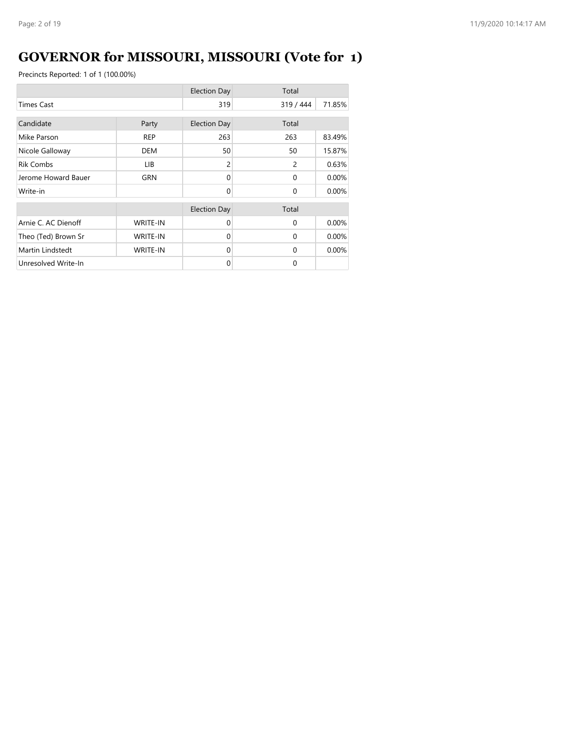# **GOVERNOR for MISSOURI, MISSOURI (Vote for 1)**

|                     |                 | <b>Election Day</b> | Total     |        |
|---------------------|-----------------|---------------------|-----------|--------|
| <b>Times Cast</b>   |                 |                     | 319 / 444 | 71.85% |
| Candidate           | Party           | <b>Election Day</b> | Total     |        |
| Mike Parson         | <b>REP</b>      | 263                 | 263       | 83.49% |
| Nicole Galloway     | DEM             | 50                  | 50        | 15.87% |
| <b>Rik Combs</b>    | LIB.            | $\overline{c}$      | 2         | 0.63%  |
| Jerome Howard Bauer | GRN             | $\Omega$            | $\Omega$  | 0.00%  |
| Write-in            |                 | $\Omega$            | $\Omega$  | 0.00%  |
|                     |                 | <b>Election Day</b> | Total     |        |
| Arnie C. AC Dienoff | <b>WRITE-IN</b> | $\Omega$            | $\Omega$  | 0.00%  |
| Theo (Ted) Brown Sr | <b>WRITE-IN</b> | $\Omega$            | $\Omega$  | 0.00%  |
| Martin Lindstedt    | <b>WRITE-IN</b> | $\Omega$            | $\Omega$  | 0.00%  |
| Unresolved Write-In |                 | $\Omega$            | $\Omega$  |        |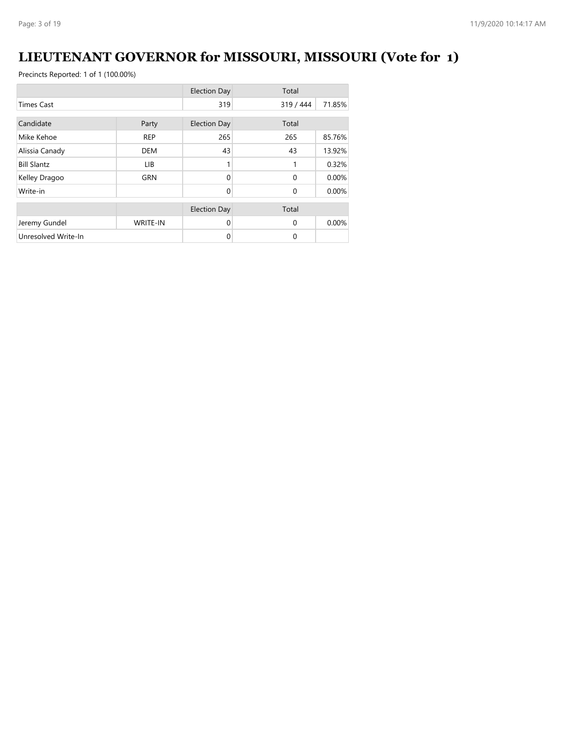# **LIEUTENANT GOVERNOR for MISSOURI, MISSOURI (Vote for 1)**

|                     |                 | <b>Election Day</b> | Total        |        |
|---------------------|-----------------|---------------------|--------------|--------|
| <b>Times Cast</b>   |                 | 319                 | 319 / 444    | 71.85% |
| Candidate           |                 |                     | Total        |        |
|                     | Party           | <b>Election Day</b> |              |        |
| Mike Kehoe          | <b>REP</b>      | 265                 | 265          | 85.76% |
| Alissia Canady      | <b>DEM</b>      | 43                  | 43           | 13.92% |
| <b>Bill Slantz</b>  | LIB.            |                     | 1            | 0.32%  |
| Kelley Dragoo       | <b>GRN</b>      | $\Omega$            | $\mathbf{0}$ | 0.00%  |
| Write-in            |                 | $\Omega$            | $\mathbf{0}$ | 0.00%  |
|                     |                 | <b>Election Day</b> | Total        |        |
|                     |                 |                     |              |        |
| Jeremy Gundel       | <b>WRITE-IN</b> | $\Omega$            | $\Omega$     | 0.00%  |
| Unresolved Write-In |                 | 0                   | 0            |        |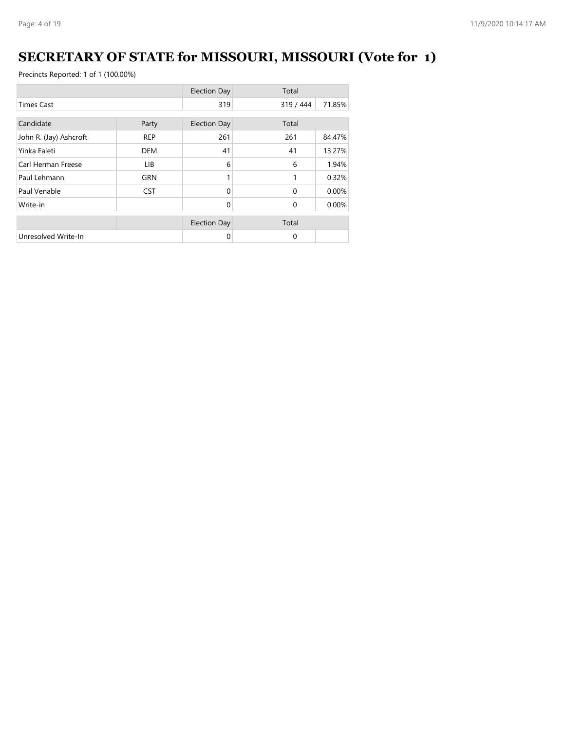# **SECRETARY OF STATE for MISSOURI, MISSOURI (Vote for 1)**

|                        |            | <b>Election Day</b> | Total     |        |
|------------------------|------------|---------------------|-----------|--------|
| <b>Times Cast</b>      |            |                     | 319 / 444 | 71.85% |
| Candidate<br>Party     |            | <b>Election Day</b> | Total     |        |
| John R. (Jay) Ashcroft | <b>REP</b> | 261                 | 261       | 84.47% |
| Yinka Faleti           | <b>DEM</b> | 41                  | 41        | 13.27% |
| Carl Herman Freese     | LIB.       | 6                   | 6         | 1.94%  |
| Paul Lehmann           | <b>GRN</b> |                     |           | 0.32%  |
| Paul Venable           | <b>CST</b> | $\Omega$            | $\Omega$  | 0.00%  |
| Write-in               |            | $\Omega$            | $\Omega$  | 0.00%  |
|                        |            | <b>Election Day</b> | Total     |        |
| Unresolved Write-In    |            | 0                   | $\Omega$  |        |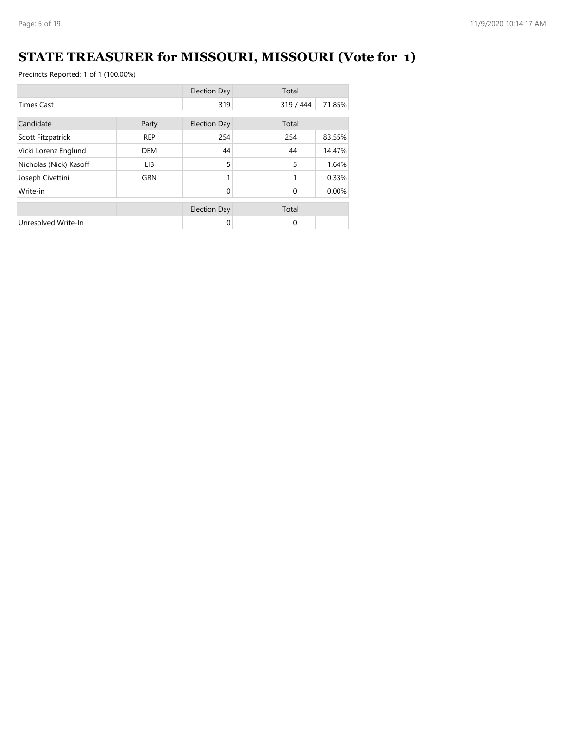# **STATE TREASURER for MISSOURI, MISSOURI (Vote for 1)**

|                        |            | <b>Election Day</b> | Total     |        |
|------------------------|------------|---------------------|-----------|--------|
| <b>Times Cast</b>      |            | 319                 | 319 / 444 | 71.85% |
| Candidate<br>Party     |            | <b>Election Day</b> | Total     |        |
| Scott Fitzpatrick      | <b>REP</b> | 254                 | 254       | 83.55% |
| Vicki Lorenz Englund   | <b>DEM</b> | 44                  | 44        | 14.47% |
| Nicholas (Nick) Kasoff | LIB.       | 5                   | 5         | 1.64%  |
| Joseph Civettini       | <b>GRN</b> |                     | 1         | 0.33%  |
| Write-in               |            | $\Omega$            | $\Omega$  | 0.00%  |
|                        |            | <b>Election Day</b> | Total     |        |
| Unresolved Write-In    |            | 0                   | 0         |        |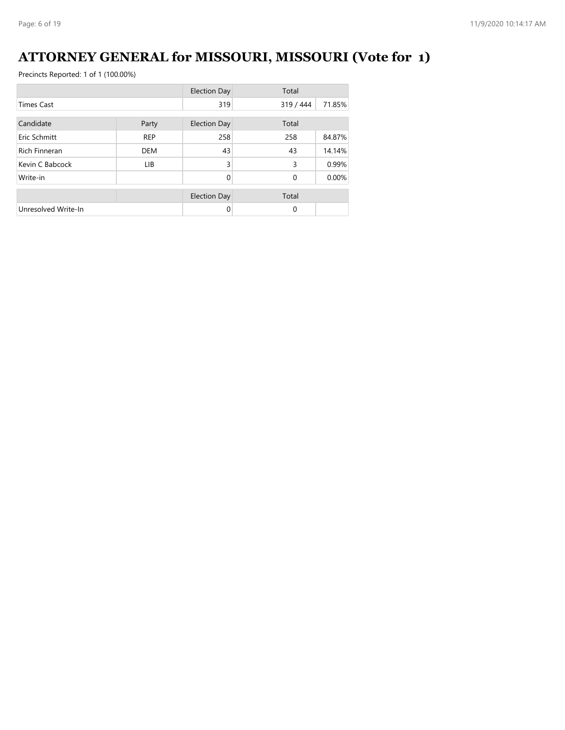### **ATTORNEY GENERAL for MISSOURI, MISSOURI (Vote for 1)**

|                      |            | <b>Election Day</b> | Total        |        |
|----------------------|------------|---------------------|--------------|--------|
| <b>Times Cast</b>    |            | 319                 | 319 / 444    | 71.85% |
| Candidate<br>Party   |            | <b>Election Day</b> | Total        |        |
| Eric Schmitt         | <b>REP</b> | 258                 | 258          | 84.87% |
| <b>Rich Finneran</b> | <b>DEM</b> | 43                  | 43           | 14.14% |
| Kevin C Babcock      | <b>LIB</b> | 3                   | 3            | 0.99%  |
| Write-in             |            | $\Omega$            | $\mathbf{0}$ | 0.00%  |
|                      |            | <b>Election Day</b> | Total        |        |
| Unresolved Write-In  |            | 0                   | 0            |        |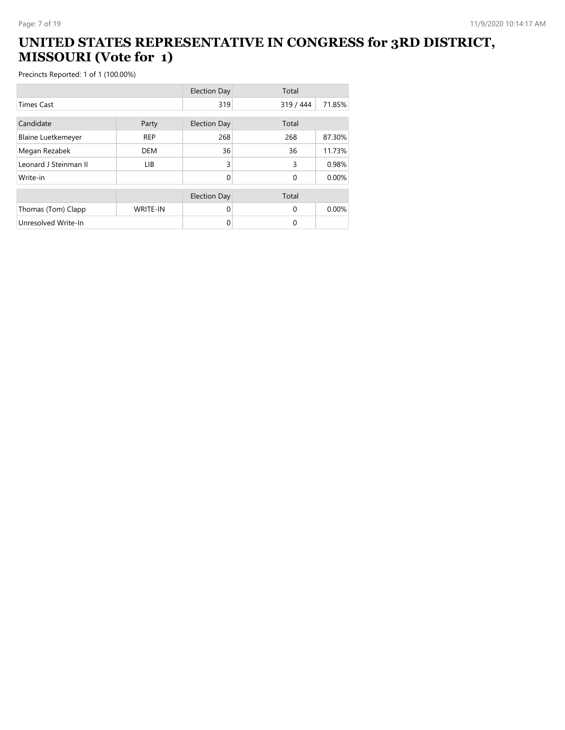#### **UNITED STATES REPRESENTATIVE IN CONGRESS for 3RD DISTRICT, MISSOURI (Vote for 1)**

|                           |                 | <b>Election Day</b> | Total     |        |
|---------------------------|-----------------|---------------------|-----------|--------|
| <b>Times Cast</b>         |                 | 319                 | 319 / 444 | 71.85% |
| Candidate                 | Party           | <b>Election Day</b> | Total     |        |
|                           |                 |                     |           |        |
| <b>Blaine Luetkemeyer</b> | <b>REP</b>      | 268                 | 268       | 87.30% |
| Megan Rezabek             | <b>DEM</b>      | 36                  | 36        | 11.73% |
| Leonard J Steinman II     | <b>LIB</b>      | 3                   | 3         | 0.98%  |
| Write-in                  |                 | 0                   | $\Omega$  | 0.00%  |
|                           |                 |                     |           |        |
|                           |                 | <b>Election Day</b> | Total     |        |
| Thomas (Tom) Clapp        | <b>WRITE-IN</b> | 0                   | $\Omega$  | 0.00%  |
| Unresolved Write-In       |                 | 0                   | $\Omega$  |        |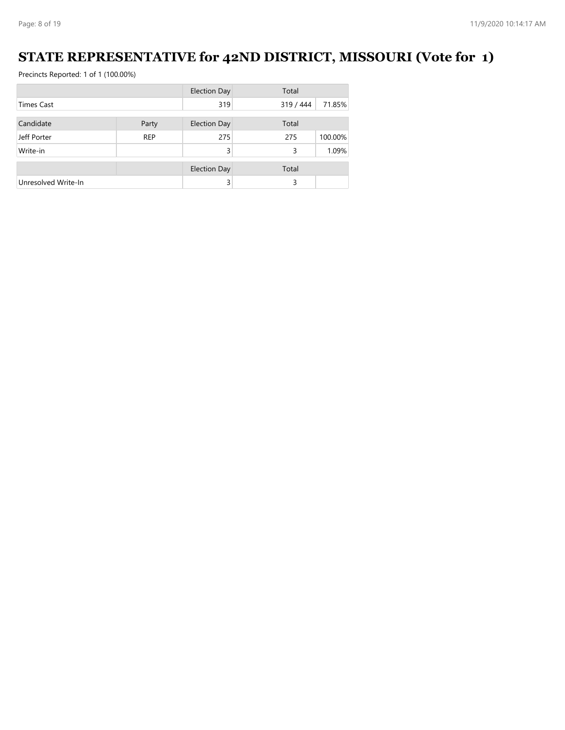### **STATE REPRESENTATIVE for 42ND DISTRICT, MISSOURI (Vote for 1)**

|                     |            | <b>Election Day</b> | Total     |         |
|---------------------|------------|---------------------|-----------|---------|
| <b>Times Cast</b>   |            | 319                 | 319 / 444 | 71.85%  |
|                     |            |                     |           |         |
| Candidate           | Party      | Election Day        | Total     |         |
| Jeff Porter         | <b>REP</b> | 275                 | 275       | 100.00% |
| Write-in            |            | 3                   | 3         | 1.09%   |
|                     |            | <b>Election Day</b> | Total     |         |
| Unresolved Write-In |            | 3                   | 3         |         |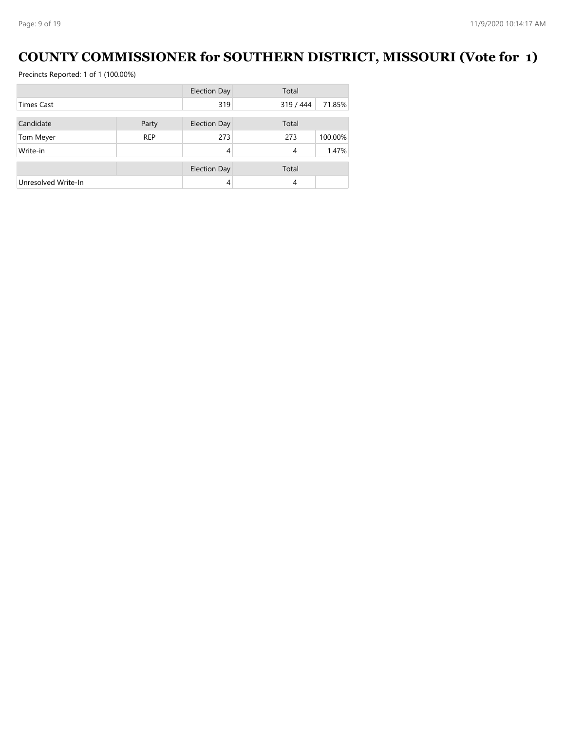### **COUNTY COMMISSIONER for SOUTHERN DISTRICT, MISSOURI (Vote for 1)**

|                     |            | <b>Election Day</b> | Total     |         |
|---------------------|------------|---------------------|-----------|---------|
| <b>Times Cast</b>   |            | 319                 | 319 / 444 | 71.85%  |
|                     |            |                     |           |         |
| Candidate           | Party      | <b>Election Day</b> | Total     |         |
| Tom Meyer           | <b>REP</b> | 273                 | 273       | 100.00% |
| Write-in            |            | 4                   | 4         | 1.47%   |
|                     |            | <b>Election Day</b> | Total     |         |
| Unresolved Write-In |            | 4                   | 4         |         |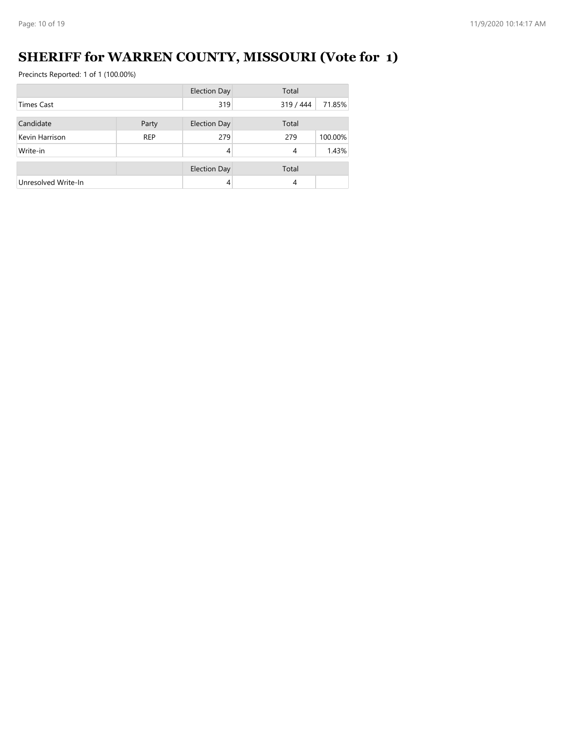# **SHERIFF for WARREN COUNTY, MISSOURI (Vote for 1)**

|                     |            | <b>Election Day</b> | Total     |         |
|---------------------|------------|---------------------|-----------|---------|
| <b>Times Cast</b>   |            | 319                 | 319 / 444 | 71.85%  |
|                     |            |                     |           |         |
| Candidate           | Party      | <b>Election Day</b> | Total     |         |
| Kevin Harrison      | <b>REP</b> | 279                 | 279       | 100.00% |
| Write-in            |            | 4                   | 4         | 1.43%   |
|                     |            |                     |           |         |
|                     |            | <b>Election Day</b> | Total     |         |
| Unresolved Write-In |            | 4                   | 4         |         |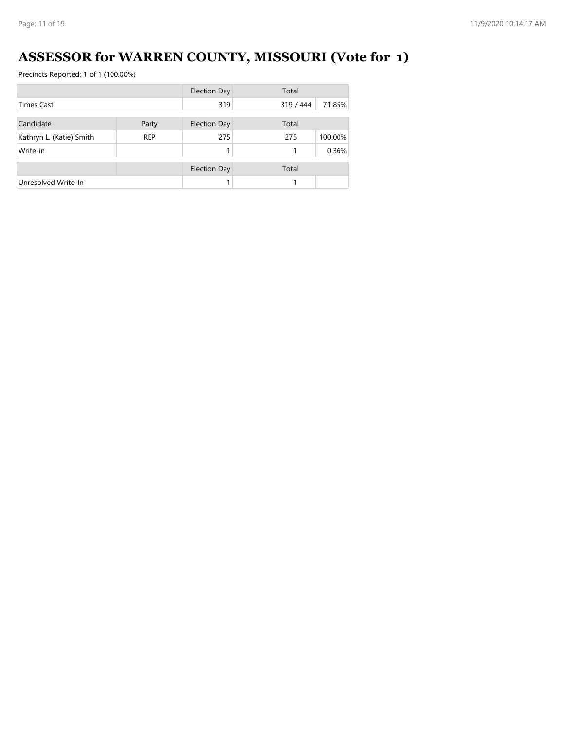# **ASSESSOR for WARREN COUNTY, MISSOURI (Vote for 1)**

|                          |            | <b>Election Day</b> | Total     |         |
|--------------------------|------------|---------------------|-----------|---------|
| <b>Times Cast</b>        |            | 319                 | 319 / 444 | 71.85%  |
| Candidate                | Party      | <b>Election Day</b> | Total     |         |
|                          |            |                     |           |         |
| Kathryn L. (Katie) Smith | <b>REP</b> | 275                 | 275       | 100.00% |
| Write-in                 |            |                     |           | 0.36%   |
|                          |            |                     |           |         |
|                          |            | <b>Election Day</b> | Total     |         |
| Unresolved Write-In      |            |                     |           |         |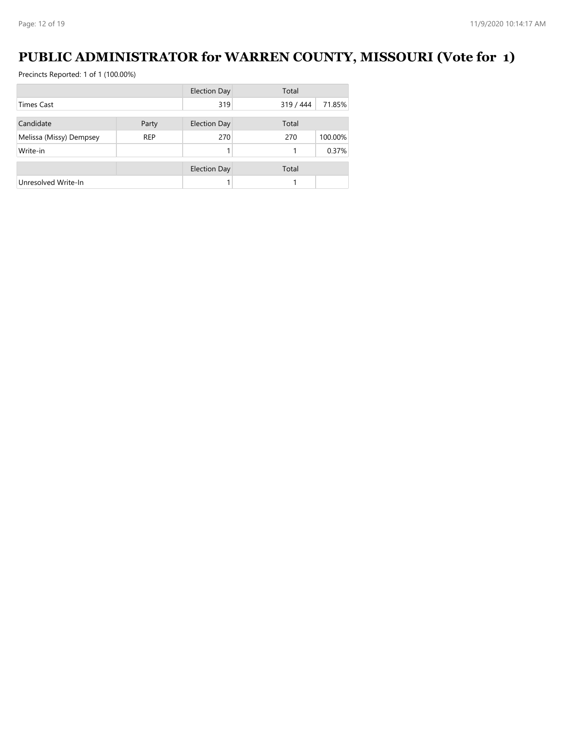### **PUBLIC ADMINISTRATOR for WARREN COUNTY, MISSOURI (Vote for 1)**

|                         |            | <b>Election Day</b> | Total     |         |
|-------------------------|------------|---------------------|-----------|---------|
| <b>Times Cast</b>       |            | 319                 | 319 / 444 | 71.85%  |
|                         |            |                     |           |         |
| Candidate               | Party      | Election Day        | Total     |         |
| Melissa (Missy) Dempsey | <b>REP</b> | 270                 | 270       | 100.00% |
| Write-in                |            |                     |           | 0.37%   |
|                         |            | <b>Election Day</b> | Total     |         |
| Unresolved Write-In     |            |                     |           |         |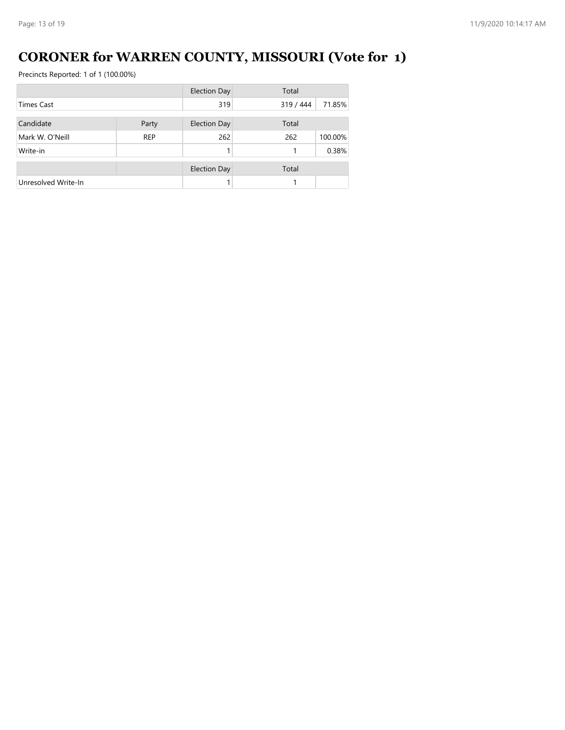# **CORONER for WARREN COUNTY, MISSOURI (Vote for 1)**

|                     |            | <b>Election Day</b> | Total     |         |  |
|---------------------|------------|---------------------|-----------|---------|--|
| <b>Times Cast</b>   |            | 319                 | 319 / 444 | 71.85%  |  |
|                     |            |                     |           |         |  |
| Candidate           | Party      | <b>Election Day</b> | Total     |         |  |
| Mark W. O'Neill     | <b>REP</b> | 262                 | 262       | 100.00% |  |
| Write-in            |            |                     |           | 0.38%   |  |
|                     |            | <b>Election Day</b> | Total     |         |  |
| Unresolved Write-In |            |                     |           |         |  |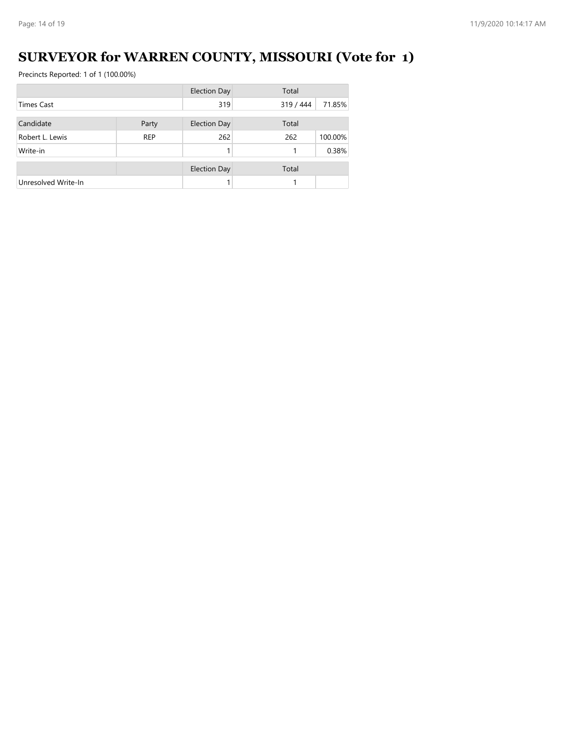# **SURVEYOR for WARREN COUNTY, MISSOURI (Vote for 1)**

|                     |            | <b>Election Day</b> | Total     |         |  |
|---------------------|------------|---------------------|-----------|---------|--|
| <b>Times Cast</b>   |            | 319                 | 319 / 444 | 71.85%  |  |
| Candidate<br>Party  |            | <b>Election Day</b> | Total     |         |  |
| Robert L. Lewis     | <b>REP</b> | 262                 | 262       | 100.00% |  |
| Write-in            |            |                     |           | 0.38%   |  |
|                     |            | <b>Election Day</b> | Total     |         |  |
| Unresolved Write-In |            |                     |           |         |  |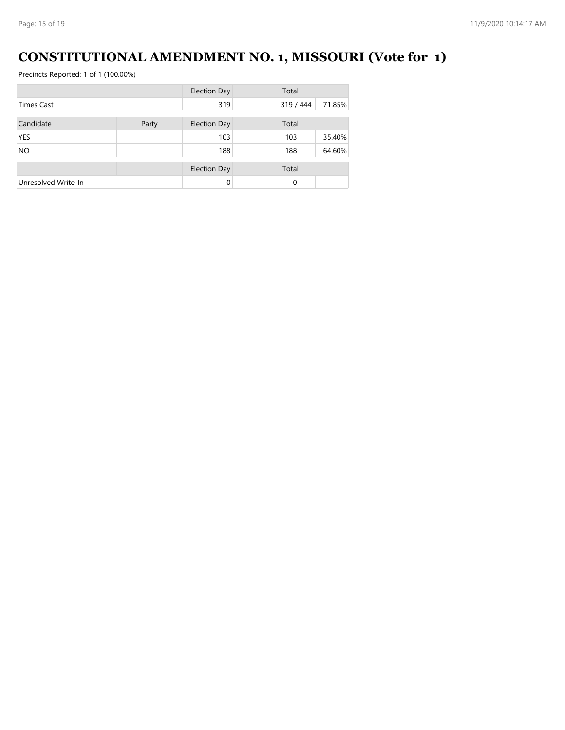### **CONSTITUTIONAL AMENDMENT NO. 1, MISSOURI (Vote for 1)**

|                     |       | <b>Election Day</b> | Total     |        |  |
|---------------------|-------|---------------------|-----------|--------|--|
| <b>Times Cast</b>   |       | 319                 | 319 / 444 | 71.85% |  |
|                     |       |                     |           |        |  |
| Candidate           | Party | <b>Election Day</b> | Total     |        |  |
| <b>YES</b>          |       | 103                 | 103       | 35.40% |  |
| <b>NO</b>           |       | 188                 | 188       | 64.60% |  |
|                     |       |                     |           |        |  |
|                     |       | <b>Election Day</b> | Total     |        |  |
| Unresolved Write-In |       | $\Omega$            | 0         |        |  |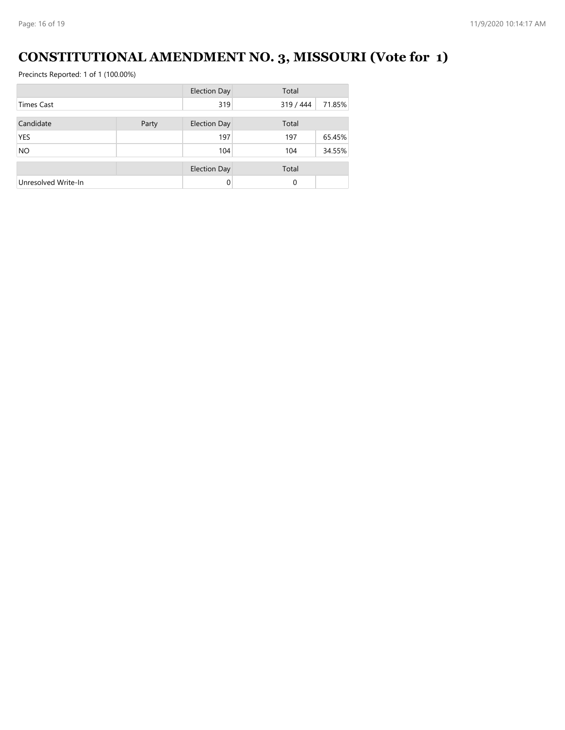# **CONSTITUTIONAL AMENDMENT NO. 3, MISSOURI (Vote for 1)**

|                     |       | <b>Election Day</b> | Total     |        |  |
|---------------------|-------|---------------------|-----------|--------|--|
| <b>Times Cast</b>   |       | 319                 | 319 / 444 | 71.85% |  |
|                     |       |                     |           |        |  |
| Candidate           | Party | <b>Election Day</b> | Total     |        |  |
| <b>YES</b>          |       | 197                 | 197       | 65.45% |  |
| <b>NO</b>           |       | 104                 | 104       | 34.55% |  |
|                     |       | <b>Election Day</b> | Total     |        |  |
| Unresolved Write-In |       | 0                   | 0         |        |  |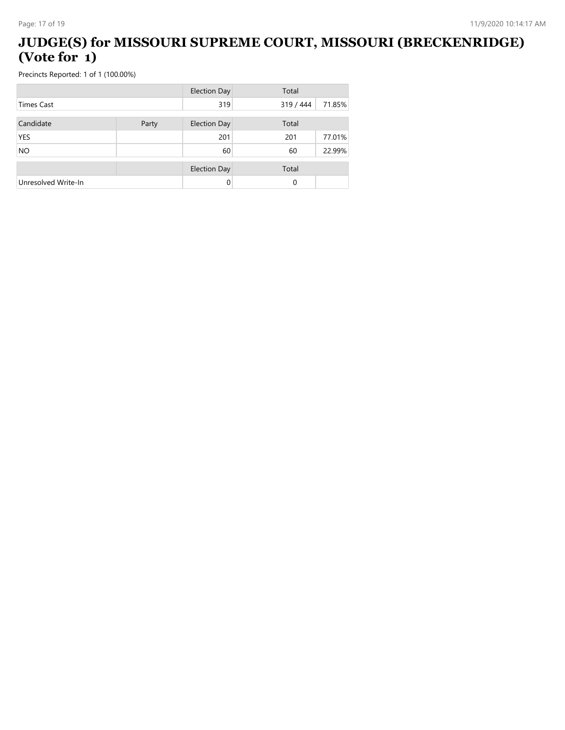#### **JUDGE(S) for MISSOURI SUPREME COURT, MISSOURI (BRECKENRIDGE) (Vote for 1)**

|                     |       | <b>Election Day</b> | Total     |        |  |
|---------------------|-------|---------------------|-----------|--------|--|
| <b>Times Cast</b>   |       | 319                 | 319 / 444 | 71.85% |  |
| Candidate           | Party | <b>Election Day</b> | Total     |        |  |
| <b>YES</b>          |       | 201                 | 201       | 77.01% |  |
| <b>NO</b>           |       | 60                  | 60        | 22.99% |  |
|                     |       | <b>Election Day</b> | Total     |        |  |
| Unresolved Write-In |       | 0                   | 0         |        |  |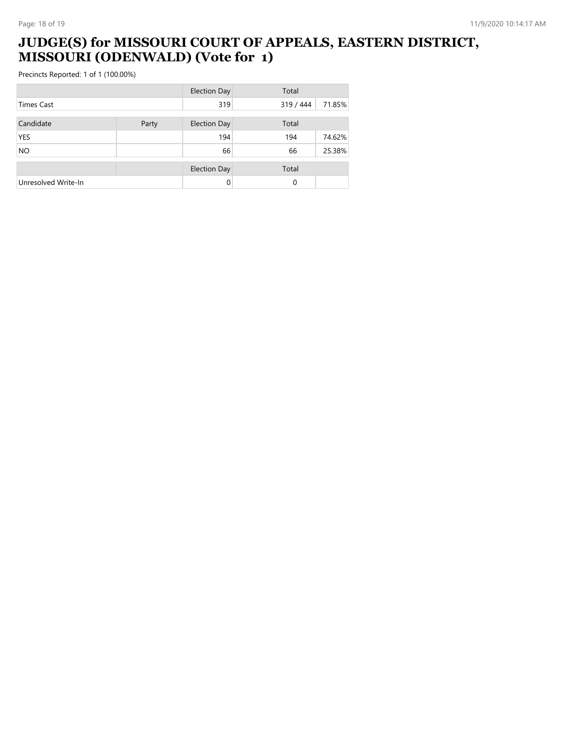#### **JUDGE(S) for MISSOURI COURT OF APPEALS, EASTERN DISTRICT, MISSOURI (ODENWALD) (Vote for 1)**

|                     |       | <b>Election Day</b> | Total     |        |  |
|---------------------|-------|---------------------|-----------|--------|--|
| <b>Times Cast</b>   |       | 319                 | 319 / 444 | 71.85% |  |
| Candidate           | Party | <b>Election Day</b> | Total     |        |  |
| <b>YES</b>          |       | 194                 | 194       | 74.62% |  |
| <b>NO</b>           |       | 66                  | 66        | 25.38% |  |
|                     |       | <b>Election Day</b> | Total     |        |  |
| Unresolved Write-In |       | 0                   | 0         |        |  |